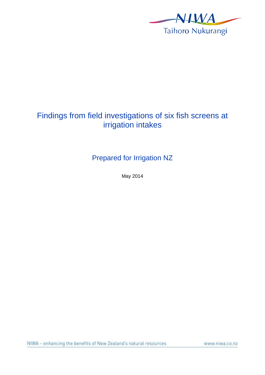

# Findings from field investigations of six fish screens at irrigation intakes

Prepared for Irrigation NZ

May 2014

www.niwa.co.nz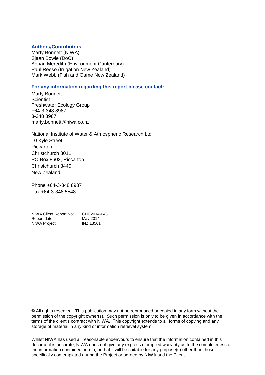#### **Authors/Contributors**:

Marty Bonnett (NIWA) Sjaan Bowie (DoC) Adrian Meredith (Environment Canterbury) Paul Reese (Irrigation New Zealand) Mark Webb (Fish and Game New Zealand)

#### **For any information regarding this report please contact:**

Marty Bonnett **Scientist** Freshwater Ecology Group +64-3-348 8987 3-348 8987 marty.bonnett@niwa.co.nz

National Institute of Water & Atmospheric Research Ltd 10 Kyle Street Riccarton Christchurch 8011 PO Box 8602, Riccarton Christchurch 8440 New Zealand

Phone +64-3-348 8987 Fax +64-3-348 5548

| NIWA Client Report No: | CHC2014-045      |
|------------------------|------------------|
| Report date:           | May 2014         |
| NIWA Project:          | <b>INZI13501</b> |

© All rights reserved. This publication may not be reproduced or copied in any form without the permission of the copyright owner(s). Such permission is only to be given in accordance with the terms of the client's contract with NIWA. This copyright extends to all forms of copying and any storage of material in any kind of information retrieval system.

Whilst NIWA has used all reasonable endeavours to ensure that the information contained in this document is accurate, NIWA does not give any express or implied warranty as to the completeness of the information contained herein, or that it will be suitable for any purpose(s) other than those specifically contemplated during the Project or agreed by NIWA and the Client.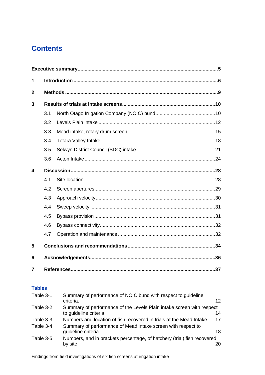# **Contents**

| 1            |     |  |     |  |
|--------------|-----|--|-----|--|
| $\mathbf{2}$ |     |  |     |  |
| 3            |     |  |     |  |
|              | 3.1 |  |     |  |
|              | 3.2 |  |     |  |
|              | 3.3 |  |     |  |
|              | 3.4 |  |     |  |
|              | 3.5 |  |     |  |
|              | 3.6 |  |     |  |
| 4            |     |  |     |  |
|              | 4.1 |  |     |  |
|              | 4.2 |  |     |  |
|              | 4.3 |  |     |  |
|              | 4.4 |  |     |  |
|              | 4.5 |  |     |  |
|              | 4.6 |  |     |  |
|              | 4.7 |  |     |  |
| 5            |     |  |     |  |
| 6            |     |  |     |  |
| 7            |     |  | .37 |  |

### **Tables**

| Table $3-1$ :     | Summary of performance of NOIC bund with respect to guideline           |                 |
|-------------------|-------------------------------------------------------------------------|-----------------|
|                   | criteria.                                                               | 12 <sup>°</sup> |
| <b>Table 3-2:</b> | Summary of performance of the Levels Plain intake screen with respect   |                 |
|                   | to guideline criteria.                                                  | 14              |
| <b>Table 3-3:</b> | Numbers and location of fish recovered in trials at the Mead Intake.    | 17              |
| Table 3-4:        | Summary of performance of Mead intake screen with respect to            |                 |
|                   | quideline criteria.                                                     | 18              |
| Table 3-5:        | Numbers, and in brackets percentage, of hatchery (trial) fish recovered |                 |
|                   | by site.                                                                |                 |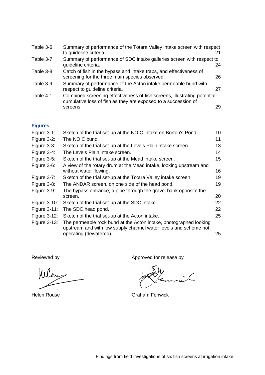| Table $3-6$ :     | Summary of performance of the Totara Valley intake screen with respect<br>to guideline criteria.                                           |    |
|-------------------|--------------------------------------------------------------------------------------------------------------------------------------------|----|
| Table 3-7:        | Summary of performance of SDC intake galleries screen with respect to<br>guideline criteria.                                               | 24 |
| <b>Table 3-8:</b> | Catch of fish in the bypass and intake traps, and effectiveness of<br>screening for the three main species observed.                       | 26 |
| Table 3-9:        | Summary of performance of the Acton intake permeable bund with<br>respect to guideline criteria.                                           | 27 |
| Table $4-1$ :     | Combined screening effectiveness of fish screens, illustrating potential<br>cumulative loss of fish as they are exposed to a succession of |    |
|                   | screens.                                                                                                                                   | 29 |

## **Figures**

| Figure 3-1:         | Sketch of the trial set-up at the NOIC intake on Borton's Pond.                                                                                                 | 10 |
|---------------------|-----------------------------------------------------------------------------------------------------------------------------------------------------------------|----|
| Figure 3-2:         | The NOIC bund.                                                                                                                                                  | 11 |
| Figure 3-3:         | Sketch of the trial set-up at the Levels Plain intake screen.                                                                                                   | 13 |
| Figure 3-4:         | The Levels Plain intake screen.                                                                                                                                 | 14 |
| Figure $3-5$ :      | Sketch of the trial set-up at the Mead intake screen.                                                                                                           | 15 |
| Figure 3-6:         | A view of the rotary drum at the Mead intake, looking upstream and<br>without water flowing.                                                                    | 16 |
| Figure $3-7$ :      | Sketch of the trial set-up at the Totara Valley intake screen.                                                                                                  | 19 |
| Figure 3-8:         | The ANDAR screen, on one side of the head pond.                                                                                                                 | 19 |
| Figure 3-9:         | The bypass entrance; a pipe through the gravel bank opposite the                                                                                                |    |
|                     | screen.                                                                                                                                                         | 20 |
| <b>Figure 3-10:</b> | Sketch of the trial set-up at the SDC intake.                                                                                                                   | 22 |
| <b>Figure 3-11:</b> | The SDC head pond.                                                                                                                                              | 22 |
| <b>Figure 3-12:</b> | Sketch of the trial set-up at the Acton intake.                                                                                                                 | 25 |
| Figure $3-13$ :     | The permeable rock bund at the Acton intake, photographed looking<br>upstream and with low supply channel water levels and scheme not<br>operating (dewatered). | 25 |

Whome

Reviewed by  $\hskip 1.0cm$  Reviewed by  $\hskip 1.0cm$  Approved for release by

Helen Rouse Graham Fenwick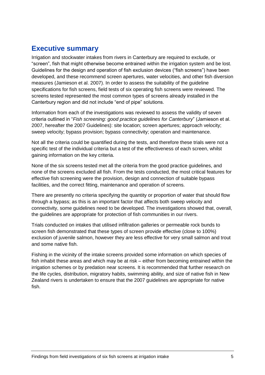# <span id="page-4-0"></span>**Executive summary**

Irrigation and stockwater intakes from rivers in Canterbury are required to exclude, or "screen", fish that might otherwise become entrained within the irrigation system and be lost. Guidelines for the design and operation of fish exclusion devices ("fish screens") have been developed, and these recommend screen apertures, water velocities, and other fish diversion measures (Jamieson et al. 2007). In order to assess the suitability of the guideline specifications for fish screens, field tests of six operating fish screens were reviewed. The screens tested represented the most common types of screens already installed in the Canterbury region and did not include "end of pipe" solutions.

Information from each of the investigations was reviewed to assess the validity of seven criteria outlined in "*Fish screening: good practice guidelines for Canterbury*" (Jamieson et al. 2007, hereafter the 2007 Guidelines): site location; screen apertures; approach velocity; sweep velocity; bypass provision; bypass connectivity; operation and maintenance.

Not all the criteria could be quantified during the tests, and therefore these trials were not a specific test of the individual criteria but a test of the effectiveness of each screen, whilst gaining information on the key criteria.

None of the six screens tested met all the criteria from the good practice guidelines, and none of the screens excluded all fish. From the tests conducted, the most critical features for effective fish screening were the provision, design and connection of suitable bypass facilities, and the correct fitting, maintenance and operation of screens.

There are presently no criteria specifying the quantity or proportion of water that should flow through a bypass; as this is an important factor that affects both sweep velocity and connectivity, some guidelines need to be developed. The investigations showed that, overall, the guidelines are appropriate for protection of fish communities in our rivers.

Trials conducted on intakes that utilised infiltration galleries or permeable rock bunds to screen fish demonstrated that these types of screen provide effective (close to 100%) exclusion of juvenile salmon, however they are less effective for very small salmon and trout and some native fish.

Fishing in the vicinity of the intake screens provided some information on which species of fish inhabit these areas and which may be at risk – either from becoming entrained within the irrigation schemes or by predation near screens. It is recommended that further research on the life cycles, distribution, migratory habits, swimming ability, and size of native fish in New Zealand rivers is undertaken to ensure that the 2007 guidelines are appropriate for native fish.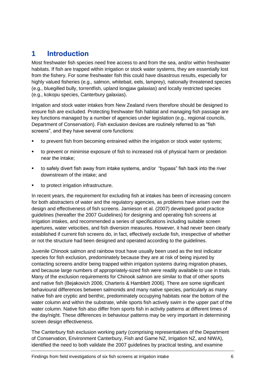# <span id="page-5-0"></span>**1 Introduction**

Most freshwater fish species need free access to and from the sea, and/or within freshwater habitats. If fish are trapped within irrigation or stock water systems, they are essentially lost from the fishery. For some freshwater fish this could have disastrous results, especially for highly valued fisheries (e.g., salmon, whitebait, eels, lamprey), nationally threatened species (e.g., bluegilled bully, torrentfish, upland longjaw galaxias) and locally restricted species (e.g., kokopu species, Canterbury galaxias).

Irrigation and stock water intakes from New Zealand rivers therefore should be designed to ensure fish are excluded. Protecting freshwater fish habitat and managing fish passage are key functions managed by a number of agencies under legislation (e.g., regional councils, Department of Conservation). Fish exclusion devices are routinely referred to as "fish screens", and they have several core functions:

- to prevent fish from becoming entrained within the irrigation or stock water systems;
- to prevent or minimise exposure of fish to increased risk of physical harm or predation near the intake;
- to safely divert fish away from intake systems, and/or "bypass" fish back into the river downstream of the intake; and
- to protect irrigation infrastructure.

In recent years, the requirement for excluding fish at intakes has been of increasing concern for both abstracters of water and the regulatory agencies, as problems have arisen over the design and effectiveness of fish screens. Jamieson et al. (2007) developed good practice guidelines (hereafter the 2007 Guidelines) for designing and operating fish screens at irrigation intakes, and recommended a series of specifications including suitable screen apertures, water velocities, and fish diversion measures. However, it had never been clearly established if current fish screens do, in fact, effectively exclude fish, irrespective of whether or not the structure had been designed and operated according to the guidelines.

Juvenile Chinook salmon and rainbow trout have usually been used as the test indicator species for fish exclusion, predominately because they are at risk of being injured by contacting screens and/or being trapped within irrigation systems during migration phases, and because large numbers of appropriately-sized fish were readily available to use in trials. Many of the exclusion requirements for Chinook salmon are similar to that of other sports and native fish (Bejakovich 2006; Charteris & Hamblett 2006). There are some significant behavioural differences between salmonids and many native species, particularly as many native fish are cryptic and benthic, predominately occupying habitats near the bottom of the water column and within the substrate, while sports fish actively swim in the upper part of the water column. Native fish also differ from sports fish in activity patterns at different times of the day/night. These differences in behaviour patterns may be very important in determining screen design effectiveness.

The Canterbury fish exclusion working party (comprising representatives of the Department of Conservation, Environment Canterbury, Fish and Game NZ, Irrigation NZ, and NIWA), identified the need to both validate the 2007 guidelines by practical testing, and examine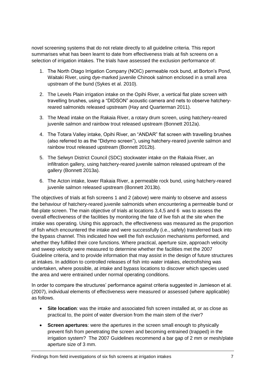novel screening systems that do not relate directly to all guideline criteria. This report summarises what has been learnt to date from effectiveness trials at fish screens on a selection of irrigation intakes. The trials have assessed the exclusion performance of:

- 1. The North Otago Irrigation Company (NOIC) permeable rock bund, at Borton's Pond, Waitaki River, using dye-marked juvenile Chinook salmon enclosed in a small area upstream of the bund (Sykes et al. 2010).
- 2. The Levels Plain irrigation intake on the Opihi River, a vertical flat plate screen with travelling brushes, using a "DIDSON" acoustic camera and nets to observe hatcheryreared salmonids released upstream (Hay and Quarterman 2011).
- 3. The Mead intake on the Rakaia River, a rotary drum screen, using hatchery-reared juvenile salmon and rainbow trout released upstream (Bonnett 2012a).
- 4. The Totara Valley intake, Opihi River, an "ANDAR" flat screen with travelling brushes (also referred to as the "Didymo screen"), using hatchery-reared juvenile salmon and rainbow trout released upstream (Bonnett 2012b).
- 5. The Selwyn District Council (SDC) stockwater intake on the Rakaia River, an infiltration gallery, using hatchery-reared juvenile salmon released upstream of the gallery (Bonnett 2013a).
- 6. The Acton intake, lower Rakaia River, a permeable rock bund, using hatchery-reared juvenile salmon released upstream (Bonnett 2013b).

The objectives of trials at fish screens 1 and 2 (above) were mainly to observe and assess the behaviour of hatchery-reared juvenile salmonids when encountering a permeable bund or flat-plate screen. The main objective of trials at locations 3,4,5 and 6 was to assess the overall effectiveness of the facilities by monitoring the fate of live fish at the site when the intake was operating. Using this approach, the effectiveness was measured as the proportion of fish which encountered the intake and were successfully (i.e., safely) transferred back into the bypass channel. This indicated how well the fish exclusion mechanisms performed, and whether they fulfilled their core functions. Where practical, aperture size, approach velocity and sweep velocity were measured to determine whether the facilities met the 2007 Guideline criteria, and to provide information that may assist in the design of future structures at intakes. In addition to controlled releases of fish into water intakes, electrofishing was undertaken, where possible, at intake and bypass locations to discover which species used the area and were entrained under normal operating conditions.

In order to compare the structures' performance against criteria suggested in Jamieson et al. (2007), individual elements of effectiveness were measured or assessed (where applicable) as follows.

- **Site location**: was the intake and associated fish screen installed at, or as close as practical to, the point of water diversion from the main stem of the river?
- **Screen apertures**: were the apertures in the screen small enough to physically prevent fish from penetrating the screen and becoming entrained (trapped) in the irrigation system? The 2007 Guidelines recommend a bar gap of 2 mm or mesh/plate aperture size of 3 mm.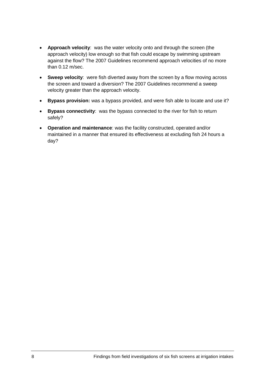- **Approach velocity**: was the water velocity onto and through the screen (the approach velocity) low enough so that fish could escape by swimming upstream against the flow? The 2007 Guidelines recommend approach velocities of no more than 0.12 m/sec.
- **Sweep velocity**: were fish diverted away from the screen by a flow moving across the screen and toward a diversion? The 2007 Guidelines recommend a sweep velocity greater than the approach velocity.
- **Bypass provision:** was a bypass provided, and were fish able to locate and use it?
- **Bypass connectivity**: was the bypass connected to the river for fish to return safely?
- **Operation and maintenance**: was the facility constructed, operated and/or maintained in a manner that ensured its effectiveness at excluding fish 24 hours a day?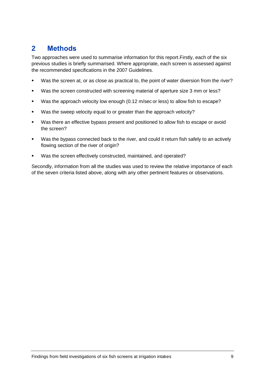# <span id="page-8-0"></span>**2 Methods**

Two approaches were used to summarise information for this report.Firstly, each of the six previous studies is briefly summarised. Where appropriate, each screen is assessed against the recommended specifications in the 2007 Guidelines.

- Was the screen at, or as close as practical to, the point of water diversion from the river?
- Was the screen constructed with screening material of aperture size 3 mm or less?
- Was the approach velocity low enough (0.12 m/sec or less) to allow fish to escape?
- Was the sweep velocity equal to or greater than the approach velocity?
- Was there an effective bypass present and positioned to allow fish to escape or avoid the screen?
- Was the bypass connected back to the river, and could it return fish safely to an actively flowing section of the river of origin?
- Was the screen effectively constructed, maintained, and operated?

Secondly, information from all the studies was used to review the relative importance of each of the seven criteria listed above, along with any other pertinent features or observations.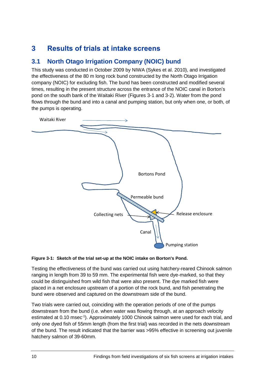# <span id="page-9-0"></span>**3 Results of trials at intake screens**

## <span id="page-9-1"></span>**3.1 North Otago Irrigation Company (NOIC) bund**

This study was conducted in October 2009 by NIWA (Sykes et al. 2010), and investigated the effectiveness of the 80 m long rock bund constructed by the North Otago Irrigation company (NOIC) for excluding fish. The bund has been constructed and modified several times, resulting in the present structure across the entrance of the NOIC canal in Borton's pond on the south bank of the Waitaki River (Figures 3-1 and 3-2). Water from the pond flows through the bund and into a canal and pumping station, but only when one, or both, of the pumps is operating.



#### <span id="page-9-2"></span>**Figure 3-1: Sketch of the trial set-up at the NOIC intake on Borton's Pond.**

Testing the effectiveness of the bund was carried out using hatchery-reared Chinook salmon ranging in length from 39 to 59 mm. The experimental fish were dye-marked, so that they could be distinguished from wild fish that were also present. The dye marked fish were placed in a net enclosure upstream of a portion of the rock bund, and fish penetrating the bund were observed and captured on the downstream side of the bund.

Two trials were carried out, coinciding with the operation periods of one of the pumps downstream from the bund (i.e. when water was flowing through, at an approach velocity estimated at 0.10 msec<sup>-1</sup>). Approximately 1000 Chinook salmon were used for each trial, and only one dyed fish of 55mm length (from the first trial) was recorded in the nets downstream of the bund. The result indicated that the barrier was >95% effective in screening out juvenile hatchery salmon of 39-60mm.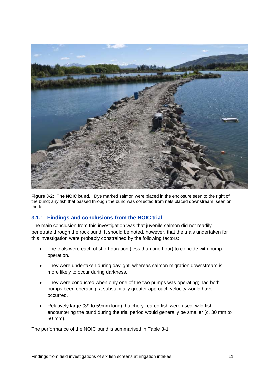

<span id="page-10-0"></span>**Figure 3-2: The NOIC bund.** Dye marked salmon were placed in the enclosure seen to the right of the bund; any fish that passed through the bund was collected from nets placed downstream, seen on the left.

### **3.1.1 Findings and conclusions from the NOIC trial**

The main conclusion from this investigation was that juvenile salmon did not readily penetrate through the rock bund. It should be noted, however, that the trials undertaken for this investigation were probably constrained by the following factors:

- The trials were each of short duration (less than one hour) to coincide with pump operation.
- They were undertaken during daylight, whereas salmon migration downstream is more likely to occur during darkness.
- They were conducted when only one of the two pumps was operating: had both pumps been operating, a substantially greater approach velocity would have occurred.
- Relatively large (39 to 59mm long), hatchery-reared fish were used; wild fish encountering the bund during the trial period would generally be smaller (c. 30 mm to 50 mm).

The performance of the NOIC bund is summarised in Table 3-1.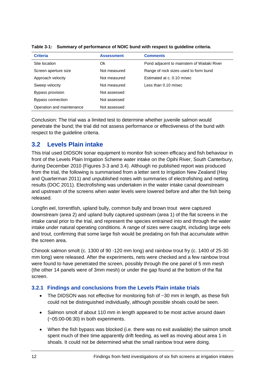| <b>Criteria</b>           | <b>Assessment</b> | <b>Comments</b>                            |
|---------------------------|-------------------|--------------------------------------------|
| Site location             | Ok                | Pond adjacent to mainstem of Waitaki River |
| Screen aperture size      | Not measured      | Range of rock sizes used to form bund      |
| Approach velocity         | Not measured      | Estimated at c. 0.10 m/sec                 |
| Sweep velocity            | Not measured      | Less than 0.10 m/sec                       |
| Bypass provision          | Not assessed      |                                            |
| Bypass connection         | Not assessed      |                                            |
| Operation and maintenance | Not assessed      |                                            |

<span id="page-11-1"></span>**Table 3-1: Summary of performance of NOIC bund with respect to guideline criteria.**

Conclusion: The trial was a limited test to determine whether juvenile salmon would penetrate the bund; the trial did not assess performance or effectiveness of the bund with respect to the guideline criteria.

## <span id="page-11-0"></span>**3.2 Levels Plain intake**

This trial used DIDSON sonar equipment to monitor fish screen efficacy and fish behaviour in front of the Levels Plain Irrigation Scheme water intake on the Opihi River, South Canterbury, during December 2010 (Figures 3-3 and 3.4). Although no published report was produced from the trial, the following is summarised from a letter sent to Irrigation New Zealand (Hay and Quarterman 2011) and unpublished notes with summaries of electrofishing and netting results (DOC 2011). Electrofishing was undertaken in the water intake canal downstream and upstream of the screens when water levels were lowered before and after the fish being released.

Longfin eel, torrentfish, upland bully, common bully and brown trout were captured downstream (area 2) and upland bully captured upstream (area 1) of the flat screens in the intake canal prior to the trial, and represent the species entrained into and through the water intake under natural operating conditions. A range of sizes were caught, including large eels and trout, confirming that some large fish would be predating on fish that accumulate within the screen area.

Chinook salmon smolt (c. 1300 of 90 -120 mm long) and rainbow trout fry (c. 1400 of 25-30 mm long) were released. After the experiments, nets were checked and a few rainbow trout were found to have penetrated the screen, possibly through the one panel of 5 mm mesh (the other 14 panels were of 3mm mesh) or under the gap found at the bottom of the flat screen.

### **3.2.1 Findings and conclusions from the Levels Plain intake trials**

- The DIDSON was not effective for monitoring fish of  $\sim$ 30 mm in length, as these fish could not be distinguished individually, although possible shoals could be seen.
- Salmon smolt of about 110 mm in length appeared to be most active around dawn (~05:00-06:30) in both experiments.
- When the fish bypass was blocked (i.e. there was no exit available) the salmon smolt spent much of their time apparently drift feeding, as well as moving about area 1 in shoals. It could not be determined what the small rainbow trout were doing.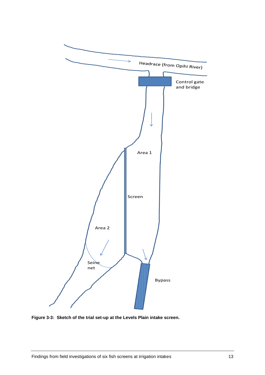

<span id="page-12-0"></span>**Figure 3-3: Sketch of the trial set-up at the Levels Plain intake screen.**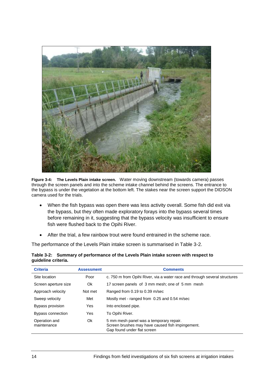

<span id="page-13-1"></span>**Figure 3-4: The Levels Plain intake screen.** Water moving downstream (towards camera) passes through the screen panels and into the scheme intake channel behind the screens. The entrance to the bypass is under the vegetation at the bottom left. The stakes near the screen support the DIDSON camera used for the trials.

- When the fish bypass was open there was less activity overall. Some fish did exit via the bypass, but they often made exploratory forays into the bypass several times before remaining in it, suggesting that the bypass velocity was insufficient to ensure fish were flushed back to the Opihi River.
- After the trial, a few rainbow trout were found entrained in the scheme race.

The performance of the Levels Plain intake screen is summarised in Table 3-2.

| <b>Criteria</b>              | <b>Assessment</b> | <b>Comments</b>                                                                                                            |
|------------------------------|-------------------|----------------------------------------------------------------------------------------------------------------------------|
| Site location                | Poor              | c. 750 m from Opihi River, via a water race and through several structures                                                 |
| Screen aperture size         | 0k                | 17 screen panels of 3 mm mesh; one of 5 mm mesh                                                                            |
| Approach velocity            | Not met           | Ranged from 0.19 to 0.39 m/sec                                                                                             |
| Sweep velocity               | Met               | Mostly met - ranged from 0.25 and 0.54 m/sec                                                                               |
| Bypass provision             | Yes               | Into enclosed pipe.                                                                                                        |
| Bypass connection            | Yes               | To Opihi River.                                                                                                            |
| Operation and<br>maintenance | Ok                | 5 mm mesh panel was a temporary repair.<br>Screen brushes may have caused fish impingement.<br>Gap found under flat screen |

#### <span id="page-13-0"></span>**Table 3-2: Summary of performance of the Levels Plain intake screen with respect to guideline criteria.**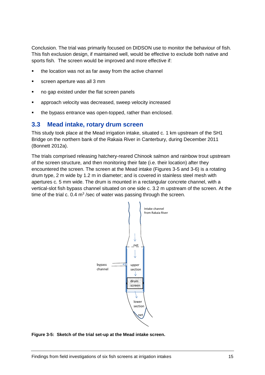Conclusion. The trial was primarily focused on DIDSON use to monitor the behaviour of fish. This fish exclusion design, if maintained well, would be effective to exclude both native and sports fish. The screen would be improved and more effective if:

- the location was not as far away from the active channel
- screen aperture was all 3 mm
- no gap existed under the flat screen panels
- approach velocity was decreased, sweep velocity increased
- the bypass entrance was open-topped, rather than enclosed.

### <span id="page-14-0"></span>**3.3 Mead intake, rotary drum screen**

This study took place at the Mead irrigation intake, situated c. 1 km upstream of the SH1 Bridge on the northern bank of the Rakaia River in Canterbury, during December 2011 (Bonnett 2012a).

The trials comprised releasing hatchery-reared Chinook salmon and rainbow trout upstream of the screen structure, and then monitoring their fate (i.e. their location) after they encountered the screen. The screen at the Mead intake (Figures 3-5 and 3-6) is a rotating drum type, 2 m wide by 1.2 m in diameter; and is covered in stainless steel mesh with apertures c. 5 mm wide. The drum is mounted in a rectangular concrete channel, with a vertical-slot fish bypass channel situated on one side c. 3.2 m upstream of the screen. At the time of the trial c.  $0.4 \text{ m}^3$  /sec of water was passing through the screen.



<span id="page-14-1"></span>**Figure 3-5: Sketch of the trial set-up at the Mead intake screen.**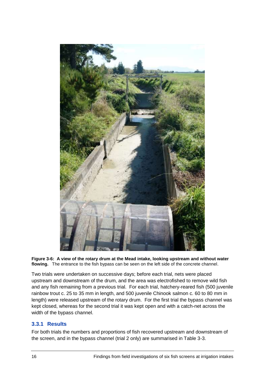

**Figure 3-6: A view of the rotary drum at the Mead intake, looking upstream and without water flowing.** The entrance to the fish bypass can be seen on the left side of the concrete channel.

<span id="page-15-0"></span>Two trials were undertaken on successive days; before each trial, nets were placed upstream and downstream of the drum, and the area was electrofished to remove wild fish and any fish remaining from a previous trial. For each trial, hatchery-reared fish (500 juvenile rainbow trout c. 25 to 35 mm in length, and 500 juvenile Chinook salmon c. 60 to 80 mm in length) were released upstream of the rotary drum. For the first trial the bypass channel was kept closed, whereas for the second trial it was kept open and with a catch-net across the width of the bypass channel.

#### **3.3.1 Results**

For both trials the numbers and proportions of fish recovered upstream and downstream of the screen, and in the bypass channel (trial 2 only) are summarised in Table 3-3.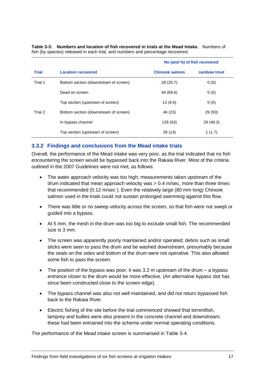|              |                                       | No (and %) of fish recovered |               |
|--------------|---------------------------------------|------------------------------|---------------|
| <b>Trial</b> | <b>Location recovered</b>             | <b>Chinook salmon</b>        | rainbow trout |
| Trial 1      | Bottom section (downstream of screen) | 28 (20.7)                    | 0(0)          |
|              | Dead on screen                        | 94 (69.6)                    | 0(0)          |
|              | Top section (upstream of screen)      | 13(9.6)                      | 0(0)          |
| Trial 2      | Bottom section (downstream of screen) | 46 (23)                      | 29 (50)       |
|              | In bypass channel                     | 126 (63)                     | 28 (48.3)     |
|              | Top section (upstream of screen)      | 28 (14)                      | 1(1.7)        |

<span id="page-16-0"></span>**Table 3-3: Numbers and location of fish recovered in trials at the Mead Intake.** Numbers of fish (by species) released in each trial, and numbers and percentage recovered.

### **3.3.2 Findings and conclusions from the Mead intake trials**

Overall, the performance of the Mead intake was very poor, as the trial indicated that no fish encountering the screen would be bypassed back into the Rakaia River. Most of the criteria outlined in the 2007 Guidelines were not met, as follows:

- The water approach velocity was too high; measurements taken upstream of the drum indicated that mean approach velocity was > 0.4 m/sec, more than three times that recommended (0.12 m/sec ). Even the relatively large (80 mm long) Chinook salmon used in the trials could not sustain prolonged swimming against this flow.
- There was little or no sweep velocity across the screen, so that fish were not swept or guided into a bypass.
- At 5 mm, the mesh in the drum was too big to exclude small fish. The recommended size is 3 mm.
- The screen was apparently poorly maintained and/or operated; debris such as small sticks were seen to pass the drum and be washed downstream, presumably because the seals on the sides and bottom of the drum were not operative. This also allowed some fish to pass the screen.
- The position of the bypass was poor; it was  $3.2 \text{ m}$  upstream of the drum a bypass entrance closer to the drum would be more effective. (An alternative bypass slot has since been constructed close to the screen edge).
- The bypass channel was also not well maintained, and did not return bypassed fish back to the Rakaia River.
- Electric fishing of the site before the trial commenced showed that torrentfish, lamprey and bullies were also present in the concrete channel and downstream; these had been entrained into the scheme under normal operating conditions.

The performance of the Mead intake screen is summarised in Table 3-4.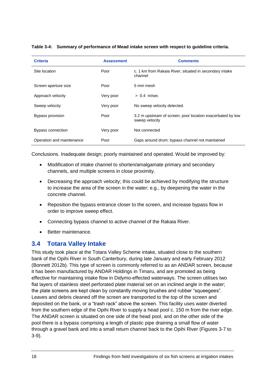| <b>Criteria</b>           | <b>Assessment</b> | <b>Comments</b>                                                              |
|---------------------------|-------------------|------------------------------------------------------------------------------|
| Site location             | Poor              | c. 1 km from Rakaia River; situated in secondary intake<br>channel           |
| Screen aperture size      | Poor              | 5 mm mesh                                                                    |
| Approach velocity         | Very poor         | $> 0.4$ m/sec                                                                |
| Sweep velocity            | Very poor         | No sweep velocity detected.                                                  |
| Bypass provision          | Poor              | 3.2 m upstream of screen; poor location exacerbated by low<br>sweep velocity |
| Bypass connection         | Very poor         | Not connected                                                                |
| Operation and maintenance | Poor              | Gaps around drum; bypass channel not maintained                              |

#### <span id="page-17-1"></span>**Table 3-4: Summary of performance of Mead intake screen with respect to guideline criteria.**

Conclusions. Inadequate design; poorly maintained and operated. Would be improved by:

- Modification of intake channel to shorten/amalgamate primary and secondary channels, and multiple screens in close proximity.
- Decreasing the approach velocity; this could be achieved by modifying the structure to increase the area of the screen in the water; e.g., by deepening the water in the concrete channel.
- Reposition the bypass entrance closer to the screen, and increase bypass flow in order to improve sweep effect.
- Connecting bypass channel to active channel of the Rakaia River.
- Better maintenance.

### <span id="page-17-0"></span>**3.4 Totara Valley Intake**

This study took place at the Totara Valley Scheme intake, situated close to the southern bank of the Opihi River in South Canterbury, during late January and early February 2012 (Bonnett 2012b). This type of screen is commonly referred to as an ANDAR screen, because it has been manufactured by ANDAR Holdings in Timaru, and are promoted as being effective for maintaining intake flow in Didymo-effected waterways. The screen utilises two flat layers of stainless steel perforated plate material set on an inclined angle in the water; the plate screens are kept clean by constantly moving brushes and rubber "squeegees". Leaves and debris cleaned off the screen are transported to the top of the screen and deposited on the bank, or a "trash rack" above the screen. This facility uses water diverted from the southern edge of the Opihi River to supply a head pool c. 150 m from the river edge. The ANDAR screen is situated on one side of the head pool, and on the other side of the pool there is a bypass comprising a length of plastic pipe draining a small flow of water through a gravel bank and into a small return channel back to the Opihi River (Figures 3-7 to 3-9).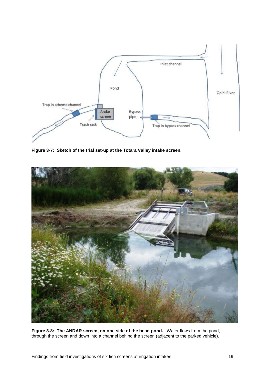

<span id="page-18-0"></span>**Figure 3-7: Sketch of the trial set-up at the Totara Valley intake screen.**

<span id="page-18-1"></span>

**Figure 3-8: The ANDAR screen, on one side of the head pond.** Water flows from the pond, through the screen and down into a channel behind the screen (adjacent to the parked vehicle).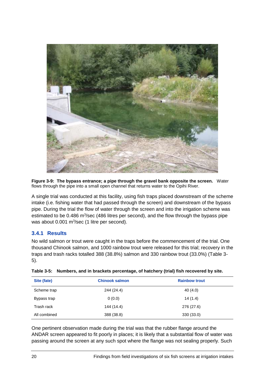

<span id="page-19-1"></span>**Figure 3-9: The bypass entrance; a pipe through the gravel bank opposite the screen.** Water flows through the pipe into a small open channel that returns water to the Opihi River.

A single trial was conducted at this facility, using fish traps placed downstream of the scheme intake (i.e. fishing water that had passed through the screen) and downstream of the bypass pipe. During the trial the flow of water through the screen and into the irrigation scheme was estimated to be 0.486 m<sup>3</sup>/sec (486 litres per second), and the flow through the bypass pipe was about  $0.001$  m<sup>3</sup>/sec (1 litre per second).

### **3.4.1 Results**

No wild salmon or trout were caught in the traps before the commencement of the trial. One thousand Chinook salmon, and 1000 rainbow trout were released for this trial; recovery in the traps and trash racks totalled 388 (38.8%) salmon and 330 rainbow trout (33.0%) (Table 3- 5).

| Site (fate)  | <b>Chinook salmon</b> | <b>Rainbow trout</b> |
|--------------|-----------------------|----------------------|
| Scheme trap  | 244 (24.4)            | 40 (4.0)             |
| Bypass trap  | 0(0.0)                | 14(1.4)              |
| Trash rack   | 144 (14.4)            | 276 (27.6)           |
| All combined | 388 (38.8)            | 330(33.0)            |

<span id="page-19-0"></span>

| Table 3-5: Numbers, and in brackets percentage, of hatchery (trial) fish recovered by site. |  |  |
|---------------------------------------------------------------------------------------------|--|--|
|                                                                                             |  |  |

One pertinent observation made during the trial was that the rubber flange around the ANDAR screen appeared to fit poorly in places; it is likely that a substantial flow of water was passing around the screen at any such spot where the flange was not sealing properly. Such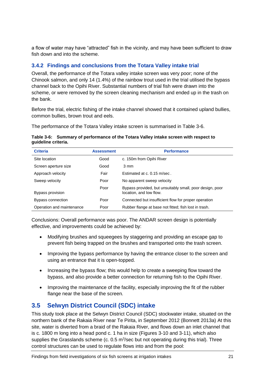a flow of water may have "attracted" fish in the vicinity, and may have been sufficient to draw fish down and into the scheme.

## **3.4.2 Findings and conclusions from the Totara Valley intake trial**

Overall, the performance of the Totara valley intake screen was very poor; none of the Chinook salmon, and only 14 (1.4%) of the rainbow trout used in the trial utilised the bypass channel back to the Opihi River. Substantial numbers of trial fish were drawn into the scheme, or were removed by the screen cleaning mechanism and ended up in the trash on the bank.

Before the trial, electric fishing of the intake channel showed that it contained upland bullies, common bullies, brown trout and eels.

The performance of the Totara Valley intake screen is summarised in Table 3-6.

#### <span id="page-20-1"></span>**Table 3-6: Summary of performance of the Totara Valley intake screen with respect to guideline criteria.**

| <b>Criteria</b>           | <b>Assessment</b> | <b>Performance</b>                                                                  |
|---------------------------|-------------------|-------------------------------------------------------------------------------------|
| Site location             | Good              | c. 150m from Opihi River                                                            |
| Screen aperture size      | Good              | 3 mm                                                                                |
| Approach velocity         | Fair              | Estimated at c. 0.15 m/sec.                                                         |
| Sweep velocity            | Poor              | No apparent sweep velocity                                                          |
| Bypass provision          | Poor              | Bypass provided, but unsuitably small, poor design, poor<br>location, and low flow. |
| Bypass connection         | Poor              | Connected but insufficient flow for proper operation                                |
| Operation and maintenance | Poor              | Rubber flange at base not fitted; fish lost in trash.                               |

Conclusions: Overall performance was poor. The ANDAR screen design is potentially effective, and improvements could be achieved by:

- Modifying brushes and squeegees by staggering and providing an escape gap to prevent fish being trapped on the brushes and transported onto the trash screen.
- Improving the bypass performance by having the entrance closer to the screen and using an entrance that it is open-topped.
- Increasing the bypass flow; this would help to create a sweeping flow toward the bypass, and also provide a better connection for returning fish to the Opihi River.
- Improving the maintenance of the facility, especially improving the fit of the rubber flange near the base of the screen.

## <span id="page-20-0"></span>**3.5 Selwyn District Council (SDC) intake**

This study took place at the Selwyn District Council (SDC) stockwater intake, situated on the northern bank of the Rakaia River near Te Pirita, in September 2012 (Bonnett 2013a) At this site, water is diverted from a braid of the Rakaia River, and flows down an inlet channel that is c. 1800 m long into a head pond c. 1 ha in size (Figures 3-10 and 3-11), which also supplies the Grasslands scheme (c.  $0.5 \text{ m}^3$ /sec but not operating during this trial). Three control structures can be used to regulate flows into and from the pool: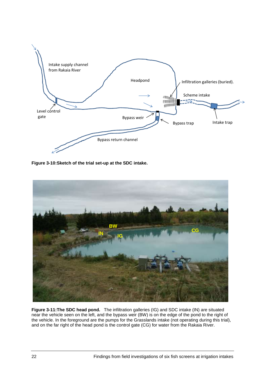

<span id="page-21-0"></span>**Figure 3-10:Sketch of the trial set-up at the SDC intake.**



<span id="page-21-1"></span>**Figure 3-11:The SDC head pond.** The infiltration galleries (IG) and SDC intake (IN) are situated near the vehicle seen on the left, and the bypass weir (BW) is on the edge of the pond to the right of the vehicle. In the foreground are the pumps for the Grasslands intake (not operating during this trial), and on the far right of the head pond is the control gate (CG) for water from the Rakaia River.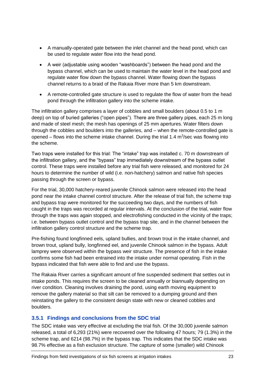- A manually-operated gate between the inlet channel and the head pond, which can be used to regulate water flow into the head pond.
- A weir (adjustable using wooden "washboards") between the head pond and the bypass channel, which can be used to maintain the water level in the head pond and regulate water flow down the bypass channel. Water flowing down the bypass channel returns to a braid of the Rakaia River more than 5 km downstream.
- A remote-controlled gate structure is used to regulate the flow of water from the head pond through the infiltration gallery into the scheme intake.

The infiltration gallery comprises a layer of cobbles and small boulders (about 0.5 to 1 m deep) on top of buried galleries ("open pipes"). There are three gallery pipes, each 25 m long and made of steel mesh; the mesh has openings of 25 mm apertures. Water filters down through the cobbles and boulders into the galleries, and – when the remote-controlled gate is opened  $-$  flows into the scheme intake channel. During the trial 1.4  $m<sup>3</sup>/sec$  was flowing into the scheme.

Two traps were installed for this trial: The "intake" trap was installed c. 70 m downstream of the infiltration gallery, and the "bypass" trap immediately downstream of the bypass outlet control. These traps were installed before any trial fish were released, and monitored for 24 hours to determine the number of wild (i.e. non-hatchery) salmon and native fish species passing through the screen or bypass.

For the trial, 30,000 hatchery-reared juvenile Chinook salmon were released into the head pond near the intake channel control structure. After the release of trial fish, the scheme trap and bypass trap were monitored for the succeeding two days, and the numbers of fish caught in the traps was recorded at regular intervals. At the conclusion of the trial, water flow through the traps was again stopped, and electrofishing conducted in the vicinity of the traps; i.e. between bypass outlet control and the bypass trap site, and in the channel between the infiltration gallery control structure and the scheme trap.

Pre-fishing found longfinned eels, upland bullies, and brown trout in the intake channel, and brown trout, upland bully, longfinned eel, and juvenile Chinook salmon in the bypass. Adult lamprey were observed within the bypass weir structure. The presence of fish in the intake confirms some fish had been entrained into the intake under normal operating. Fish in the bypass indicated that fish were able to find and use the bypass.

The Rakaia River carries a significant amount of fine suspended sediment that settles out in intake ponds. This requires the screen to be cleaned annually or biannually depending on river condition. Cleaning involves draining the pond, using earth moving equipment to remove the gallery material so that silt can be removed to a dumping ground and then reinstating the gallery to the consistent design state with new or cleaned cobbles and boulders.

### **3.5.1 Findings and conclusions from the SDC trial**

The SDC intake was very effective at excluding the trial fish. Of the 30,000 juvenile salmon released, a total of 6,293 (21%) were recovered over the following 47 hours; 79 (1.3%) in the scheme trap, and 6214 (98.7%) in the bypass trap. This indicates that the SDC intake was 98.7% effective as a fish exclusion structure. The capture of some (smaller) wild Chinook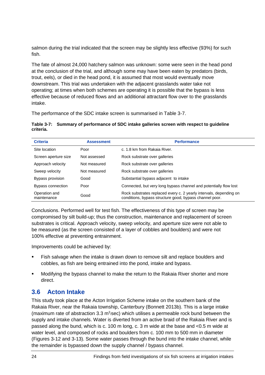salmon during the trial indicated that the screen may be slightly less effective (93%) for such fish.

The fate of almost 24,000 hatchery salmon was unknown: some were seen in the head pond at the conclusion of the trial, and although some may have been eaten by predators (birds, trout, eels), or died in the head pond, it is assumed that most would eventually move downstream. This trial was undertaken with the adjacent grasslands water take not operating; at times when both schemes are operating it is possible that the bypass is less effective because of reduced flows and an additional attractant flow over to the grasslands intake.

The performance of the SDC intake screen is summarised in Table 3-7.

<span id="page-23-1"></span>

|           | Table 3-7: Summary of performance of SDC intake galleries screen with respect to guideline |
|-----------|--------------------------------------------------------------------------------------------|
| criteria. |                                                                                            |

| <b>Criteria</b><br><b>Assessment</b> |              | <b>Performance</b>                                                                                                            |  |  |  |  |  |
|--------------------------------------|--------------|-------------------------------------------------------------------------------------------------------------------------------|--|--|--|--|--|
| Site location                        | Poor         | c. 1.8 km from Rakaia River.                                                                                                  |  |  |  |  |  |
| Screen aperture size                 | Not assessed | Rock substrate over galleries                                                                                                 |  |  |  |  |  |
| Approach velocity                    | Not measured | Rock substrate over galleries                                                                                                 |  |  |  |  |  |
| Sweep velocity                       | Not measured | Rock substrate over galleries                                                                                                 |  |  |  |  |  |
| Bypass provision                     | Good         | Substantial bypass adjacent to intake                                                                                         |  |  |  |  |  |
| Bypass connection                    | Poor         | Connected, but very long bypass channel and potentially flow lost                                                             |  |  |  |  |  |
| Operation and<br>maintenance         | Good         | Rock substrates replaced every c. 2 yearly intervals, depending on<br>conditions, bypass structure good, bypass channel poor. |  |  |  |  |  |

Conclusions. Performed well for test fish. The effectiveness of this type of screen may be compromised by silt build-up; thus the construction, maintenance and replacement of screen substrates is critical. Approach velocity, sweep velocity, and aperture size were not able to be measured (as the screen consisted of a layer of cobbles and boulders) and were not 100% effective at preventing entrainment.

Improvements could be achieved by:

- Fish salvage when the intake is drawn down to remove silt and replace boulders and cobbles, as fish are being entrained into the pond, intake and bypass.
- Modifying the bypass channel to make the return to the Rakaia River shorter and more direct.

## <span id="page-23-0"></span>**3.6 Acton Intake**

This study took place at the Acton Irrigation Scheme intake on the southern bank of the Rakaia River, near the Rakaia township, Canterbury (Bonnett 2013b). This is a large intake (maximum rate of abstraction 3.3  $m^3$ /sec) which utilises a permeable rock bund between the supply and intake channels. Water is diverted from an active braid of the Rakaia River and is passed along the bund, which is c. 100 m long, c. 3 m wide at the base and <0.5 m wide at water level, and composed of rocks and boulders from c. 100 mm to 500 mm in diameter (Figures 3-12 and 3-13). Some water passes through the bund into the intake channel, while the remainder is bypassed down the supply channel / bypass channel.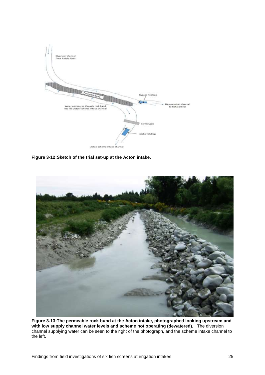

<span id="page-24-0"></span>**Figure 3-12:Sketch of the trial set-up at the Acton intake.**

<span id="page-24-1"></span>

**Figure 3-13:The permeable rock bund at the Acton intake, photographed looking upstream and with low supply channel water levels and scheme not operating (dewatered).** The diversion channel supplying water can be seen to the right of the photograph, and the scheme intake channel to the left.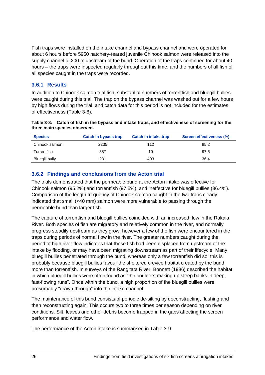Fish traps were installed on the intake channel and bypass channel and were operated for about 6 hours before 5950 hatchery-reared juvenile Chinook salmon were released into the supply channel c. 200 m upstream of the bund. Operation of the traps continued for about 40 hours – the traps were inspected regularly throughout this time, and the numbers of all fish of all species caught in the traps were recorded.

### **3.6.1 Results**

In addition to Chinook salmon trial fish, substantial numbers of torrentfish and bluegill bullies were caught during this trial. The trap on the bypass channel was washed out for a few hours by high flows during the trial, and catch data for this period is not included for the estimates of effectiveness (Table 3-8).

<span id="page-25-0"></span>

| Table 3-8: Catch of fish in the bypass and intake traps, and effectiveness of screening for the |
|-------------------------------------------------------------------------------------------------|
| three main species observed.                                                                    |

| <b>Species</b> | <b>Catch in bypass trap</b> | <b>Catch in intake trap</b> | <b>Screen effectiveness (%)</b> |
|----------------|-----------------------------|-----------------------------|---------------------------------|
| Chinook salmon | 2235                        | 112                         | 95.2                            |
| Torrentfish    | 387                         | 10                          | 97.5                            |
| Bluegill bully | 231                         | 403                         | 36.4                            |

### **3.6.2 Findings and conclusions from the Acton trial**

The trials demonstrated that the permeable bund at the Acton intake was effective for Chinook salmon (95.2%) and torrentfish (97.5%), and ineffective for bluegill bullies (36.4%). Comparison of the length frequency of Chinook salmon caught in the two traps clearly indicated that small (<40 mm) salmon were more vulnerable to passing through the permeable bund than larger fish.

The capture of torrentfish and bluegill bullies coincided with an increased flow in the Rakaia River. Both species of fish are migratory and relatively common in the river, and normally progress steadily upstream as they grow; however a few of the fish were encountered in the traps during periods of normal flow in the river. The greater numbers caught during the period of high river flow indicates that these fish had been displaced from upstream of the intake by flooding, or may have been migrating downstream as part of their lifecycle. Many bluegill bullies penetrated through the bund, whereas only a few torrentfish did so; this is probably because bluegill bullies favour the sheltered crevice habitat created by the bund more than torrentfish. In surveys of the Rangitata River, Bonnett (1986) described the habitat in which bluegill bullies were often found as "the boulders making up steep banks in deep, fast-flowing runs". Once within the bund, a high proportion of the bluegill bullies were presumably "drawn through" into the intake channel.

The maintenance of this bund consists of periodic de-silting by deconstructing, flushing and then reconstructing again. This occurs two to three times per season depending on river conditions. Silt, leaves and other debris become trapped in the gaps affecting the screen performance and water flow.

The performance of the Acton intake is summarised in Table 3-9.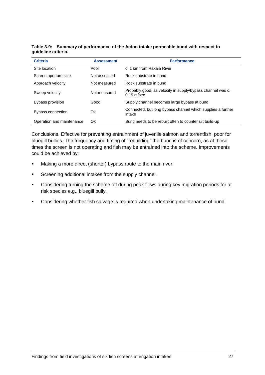| <b>Criteria</b>           | <b>Assessment</b> | <b>Performance</b>                                                         |
|---------------------------|-------------------|----------------------------------------------------------------------------|
| Site location             | Poor              | c. 1 km from Rakaia River                                                  |
| Screen aperture size      | Not assessed      | Rock substrate in bund                                                     |
| Approach velocity         | Not measured      | Rock substrate in bund                                                     |
| Sweep velocity            | Not measured      | Probably good, as velocity in supply/bypass channel was c.<br>$0.19$ m/sec |
| Bypass provision          | Good              | Supply channel becomes large bypass at bund                                |
| Bypass connection         | Ok                | Connected, but long bypass channel which supplies a further<br>intake      |
| Operation and maintenance | Ok                | Bund needs to be rebuilt often to counter silt build-up                    |

<span id="page-26-0"></span>**Table 3-9: Summary of performance of the Acton intake permeable bund with respect to guideline criteria.**

Conclusions. Effective for preventing entrainment of juvenile salmon and torrentfish, poor for bluegill bullies. The frequency and timing of "rebuilding" the bund is of concern, as at these times the screen is not operating and fish may be entrained into the scheme. Improvements could be achieved by:

- **Making a more direct (shorter) bypass route to the main river.**
- **Screening additional intakes from the supply channel.**
- Considering turning the scheme off during peak flows during key migration periods for at risk species e.g., bluegill bully.
- **•** Considering whether fish salvage is required when undertaking maintenance of bund.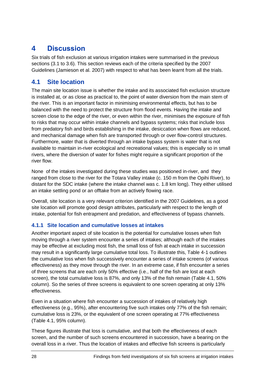# <span id="page-27-0"></span>**4 Discussion**

Six trials of fish exclusion at various irrigation intakes were summarised in the previous sections (3.1 to 3.6). This section reviews each of the criteria specified by the 2007 Guidelines (Jamieson et al. 2007) with respect to what has been learnt from all the trials.

## <span id="page-27-1"></span>**4.1 Site location**

The main site location issue is whether the intake and its associated fish exclusion structure is installed at, or as close as practical to, the point of water diversion from the main stem of the river. This is an important factor in minimising environmental effects, but has to be balanced with the need to protect the structure from flood events. Having the intake and screen close to the edge of the river, or even within the river, minimises the exposure of fish to risks that may occur within intake channels and bypass systems; risks that include loss from predatory fish and birds establishing in the intake, desiccation when flows are reduced, and mechanical damage when fish are transported through or over flow-control structures. Furthermore, water that is diverted through an intake bypass system is water that is not available to maintain in-river ecological and recreational values; this is especially so in small rivers, where the diversion of water for fishes might require a significant proportion of the river flow.

None of the intakes investigated during these studies was positioned in-river, and they ranged from close to the river for the Totara Valley intake (c. 150 m from the Opihi River), to distant for the SDC intake (where the intake channel was c. 1.8 km long). They either utilised an intake settling pond or an offtake from an actively flowing race.

Overall, site location is a very relevant criterion identified in the 2007 Guidelines, as a good site location will promote good design attributes, particularly with respect to the length of intake, potential for fish entrapment and predation, and effectiveness of bypass channels.

### **4.1.1 Site location and cumulative losses at intakes**

Another important aspect of site location is the potential for cumulative losses when fish moving through a river system encounter a series of intakes; although each of the intakes may be effective at excluding most fish, the small loss of fish at each intake in succession may result in a significantly large cumulative total loss. To illustrate this, Table 4-1 outlines the cumulative loss when fish successively encounter a series of intake screens (of various effectiveness) as they move through the river. In an extreme case, if fish encounter a series of three screens that are each only 50% effective (i.e., half of the fish are lost at each screen), the total cumulative loss is 87%, and only 13% of the fish remain (Table 4.1, 50% column). So the series of three screens is equivalent to one screen operating at only 13% effectiveness.

Even in a situation where fish encounter a succession of intakes of relatively high effectiveness (e.g., 95%), after encountering five such intakes only 77% of the fish remain; cumulative loss is 23%, or the equivalent of one screen operating at 77% effectiveness (Table 4.1, 95% column).

These figures illustrate that loss is cumulative, and that both the effectiveness of each screen, and the number of such screens encountered in succession, have a bearing on the overall loss in a river. Thus the location of intakes and effective fish screens is particularly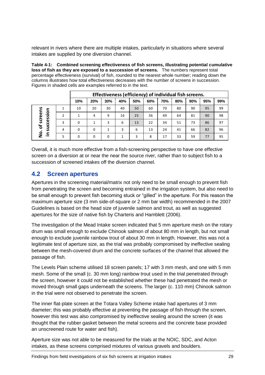relevant in rivers where there are multiple intakes, particularly in situations where several intakes are supplied by one diversion channel.

<span id="page-28-1"></span>**Table 4-1: Combined screening effectiveness of fish screens, illustrating potential cumulative loss of fish as they are exposed to a succession of screens.** The numbers represent total percentage effectiveness (survival) of fish, rounded to the nearest whole number; reading down the columns illustrates how total effectiveness decreases with the number of screens in succession. Figures in shaded cells are examples referred to in the text.

|   | Effectiveness (efficiency) of individual fish screens. |          |     |     |     |     |     |     |     |     |     |
|---|--------------------------------------------------------|----------|-----|-----|-----|-----|-----|-----|-----|-----|-----|
|   | 10%                                                    | 20%      | 30% | 40% | 50% | 60% | 70% | 80% | 90% | 95% | 99% |
|   | 10                                                     | 20       | 30  | 40  | 50  | 60  | 70  | 80  | 90  | 95  | 99  |
| 2 |                                                        | 4        | 9   | 16  | 25  | 36  | 49  | 64  | 81  | 90  | 98  |
| 3 | $\Omega$                                               | 1        | 3   | 6   | 13  | 22  | 34  | 51  | 73  | 86  | 97  |
| 4 | $\Omega$                                               | $\Omega$ |     | 3   | 6   | 13  | 24  | 41  | 66  | 82  | 96  |
| 5 | $\Omega$                                               | $\Omega$ | 0   | 1   | 3   | 8   | 17  | 33  | 59  | 77  | 95  |
|   |                                                        |          |     |     |     |     |     |     |     |     |     |

Overall, it is much more effective from a fish-screening perspective to have one effective screen on a diversion at or near the near the source river, rather than to subject fish to a succession of screened intakes off the diversion channel.

## <span id="page-28-0"></span>**4.2 Screen apertures**

Apertures in the screening material/matrix not only need to be small enough to prevent fish from penetrating the screen and becoming entrained in the irrigation system, but also need to be small enough to prevent fish becoming stuck or "gilled" in the aperture. For this reason the maximum aperture size (3 mm side-of-square or 2 mm bar width) recommended in the 2007 Guidelines is based on the head size of juvenile salmon and trout, as well as suggested apertures for the size of native fish by Charteris and Hamblett (2006).

The investigation of the Mead Intake screen indicated that 5 mm aperture mesh on the rotary drum was small enough to exclude Chinook salmon of about 80 mm in length, but not small enough to exclude juvenile rainbow trout of about 30 mm in length. However, this was not a legitimate test of aperture size, as the trial was probably compromised by ineffective sealing between the mesh-covered drum and the concrete surfaces of the channel that allowed the passage of fish.

The Levels Plain scheme utilised 18 screen panels; 17 with 3 mm mesh, and one with 5 mm mesh. Some of the small (c. 30 mm long) rainbow trout used in the trial penetrated through the screen, however it could not be established whether these had penetrated the mesh or moved through small gaps underneath the screens. The larger (c. 110 mm) Chinook salmon in the trial were not observed to penetrate the screen.

The inner flat-plate screen at the Totara Valley Scheme intake had apertures of 3 mm diameter; this was probably effective at preventing the passage of fish through the screen, however this test was also compromised by ineffective sealing around the screen (it was thought that the rubber gasket between the metal screens and the concrete base provided an unscreened route for water and fish).

Aperture size was not able to be measured for the trials at the NOIC, SDC, and Acton intakes, as these screens comprised mixtures of various gravels and boulders.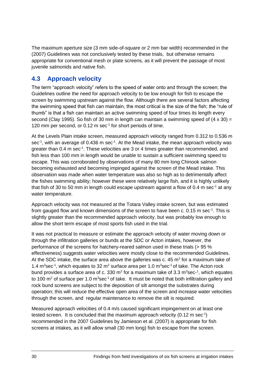The maximum aperture size (3 mm side-of-square or 2 mm bar width) recommended in the (2007) Guidelines was not conclusively tested by these trials, but otherwise remains appropriate for conventional mesh or plate screens, as it will prevent the passage of most juvenile salmonids and native fish.

## <span id="page-29-0"></span>**4.3 Approach velocity**

The term "approach velocity" refers to the speed of water onto and through the screen; the Guidelines outline the need for approach velocity to be low enough for fish to escape the screen by swimming upstream against the flow. Although there are several factors affecting the swimming speed that fish can maintain, the most critical is the size of the fish; the "rule of thumb" is that a fish can maintain an active swimming speed of four times its length every second (Clay 1995). So fish of 30 mm in length can maintain a swimming speed of  $(4 \times 30) =$ 120 mm per second, or 0.12 m sec<sup>-1</sup> for short periods of time.

At the Levels Plain intake screen, measured approach velocity ranged from 0.312 to 0.536 m sec<sup>-1</sup>, with an average of 0.436 m sec<sup>-1</sup>. At the Mead intake, the mean approach velocity was greater than 0.4 m sec<sup>-1</sup>. These velocities are 3 or 4 times greater than recommended, and fish less than 100 mm in length would be unable to sustain a sufficient swimming speed to escape. This was corroborated by observations of many 80 mm long Chinook salmon becoming exhausted and becoming impinged against the screen of the Mead intake. This observation was made when water temperature was also so high as to detrimentally affect the fishes swimming ability; however these were relatively large fish, and it is highly unlikely that fish of 30 to 50 mm in length could escape upstream against a flow of 0.4 m sec<sup>-1</sup> at any water temperature.

Approach velocity was not measured at the Totara Valley intake screen, but was estimated from gauged flow and known dimensions of the screen to have been c. 0.15 m sec<sup>-1</sup>. This is slightly greater than the recommended approach velocity, but was probably low enough to allow the short term escape of most sports fish used in the trial.

It was not practical to measure or estimate the approach velocity of water moving down or through the infiltration galleries or bunds at the SDC or Acton intakes, however, the performance of the screens for hatchery-reared salmon used in these trials (> 95 % effectiveness) suggests water velocities were mostly close to the recommended Guidelines. At the SDC intake, the surface area above the galleries was c. 45  $m^2$  for a maximum take of 1.4  $m^3$ sec<sup>-1</sup>, which equates to 32  $m^2$  surface area per 1.0  $m^3$ sec<sup>-1</sup> of take. The Acton rock bund provides a surface area of c. 330 m<sup>2</sup> for a maximum take of 3.3 m<sup>3</sup>sec-<sup>1</sup>, which equates to 100  $\text{m}^2$  of surface per 1.0  $\text{m}^3$ sec<sup>-1</sup> of take. It must be noted that both infiltration gallery and rock bund screens are subject to the deposition of silt amongst the substrates during operation; this will reduce the effective open area of the screen and increase water velocities through the screen, and regular maintenance to remove the silt is required.

Measured approach velocities of 0.4 m/s caused significant impingement on at least one tested screen. It is concluded that the maximum approach velocity (0.12 m sec $^{-1}$ ) recommended in the 2007 Guidelines by Jamieson et al. (2007) is appropriate for fish screens at intakes, as it will allow small (30 mm long) fish to escape from the screen.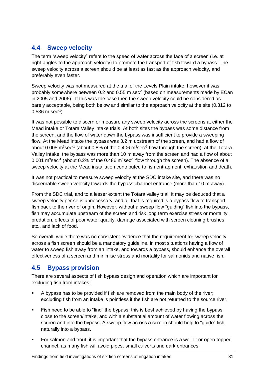## <span id="page-30-0"></span>**4.4 Sweep velocity**

The term "sweep velocity" refers to the speed of water across the face of a screen (i.e. at right-angles to the approach velocity) to promote the transport of fish toward a bypass. The sweep velocity across a screen should be at least as fast as the approach velocity, and preferably even faster.

Sweep velocity was not measured at the trial of the Levels Plain intake, however it was probably somewhere between 0.2 and 0.55 m sec<sup>-1</sup> (based on measurements made by ECan in 2005 and 2006). If this was the case then the sweep velocity could be considered as barely acceptable, being both below and similar to the approach velocity at the site (0.312 to  $0.536 \text{ m sec}^{-1}$ ).

It was not possible to discern or measure any sweep velocity across the screens at either the Mead intake or Totara Valley intake trials. At both sites the bypass was some distance from the screen, and the flow of water down the bypass was insufficient to provide a sweeping flow. At the Mead intake the bypass was 3.2 m upstream of the screen, and had a flow of about 0.005 m<sup>3</sup>sec<sup>-1</sup> (about 0.8% of the 0.406 m<sup>3</sup>sec<sup>-1</sup> flow through the screen); at the Totara Valley intake, the bypass was more than 10 m away from the screen and had a flow of about 0.001 m<sup>3</sup>sec<sup>-1</sup> (about 0.2% of the 0.486 m<sup>3</sup>sec<sup>-1</sup> flow through the screen). The absence of a sweep velocity at the Mead installation contributed to fish entrapment, exhaustion and death.

It was not practical to measure sweep velocity at the SDC intake site, and there was no discernable sweep velocity towards the bypass channel entrance (more than 10 m away).

From the SDC trial, and to a lesser extent the Totara valley trial, it may be deduced that a sweep velocity per se is unnecessary, and all that is required is a bypass flow to transport fish back to the river of origin. However, without a sweep flow "guiding" fish into the bypass, fish may accumulate upstream of the screen and risk long term exercise stress or mortality, predation, effects of poor water quality, damage associated with screen cleaning brushes etc., and lack of food.

So overall, while there was no consistent evidence that the requirement for sweep velocity across a fish screen should be a mandatory guideline, in most situations having a flow of water to sweep fish away from an intake, and towards a bypass, should enhance the overall effectiveness of a screen and minimise stress and mortality for salmonids and native fish.

## <span id="page-30-1"></span>**4.5 Bypass provision**

There are several aspects of fish bypass design and operation which are important for excluding fish from intakes:

- A bypass has to be provided if fish are removed from the main body of the river; excluding fish from an intake is pointless if the fish are not returned to the source river.
- Fish need to be able to "find" the bypass; this is best achieved by having the bypass close to the screen/intake, and with a substantial amount of water flowing across the screen and into the bypass. A sweep flow across a screen should help to "guide" fish naturally into a bypass.
- For salmon and trout, it is important that the bypass entrance is a well-lit or open-topped channel, as many fish will avoid pipes, small culverts and dark entrances.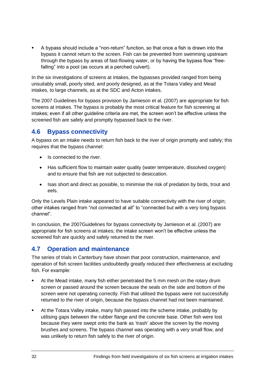A bypass should include a "non-return" function, so that once a fish is drawn into the bypass it cannot return to the screen. Fish can be prevented from swimming upstream through the bypass by areas of fast-flowing water, or by having the bypass flow "freefalling" into a pool (as occurs at a perched culvert).

In the six investigations of screens at intakes, the bypasses provided ranged from being unsuitably small, poorly sited, and poorly designed, as at the Totara Valley and Mead intakes, to large channels, as at the SDC and Acton intakes.

The 2007 Guidelines for bypass provision by Jamieson et al. (2007) are appropriate for fish screens at intakes. The bypass is probably the most critical feature for fish screening at intakes; even if all other guideline criteria are met, the screen won't be effective unless the screened fish are safely and promptly bypassed back to the river.

## <span id="page-31-0"></span>**4.6 Bypass connectivity**

A bypass on an intake needs to return fish back to the river of origin promptly and safely; this requires that the bypass channel:

- Is connected to the river.
- Has sufficient flow to maintain water quality (water temperature, dissolved oxygen) and to ensure that fish are not subjected to desiccation.
- Isas short and direct as possible, to minimise the risk of predation by birds, trout and eels.

Only the Levels Plain intake appeared to have suitable connectivity with the river of origin; other intakes ranged from "not connected at all" to "connected but with a very long bypass channel".

In conclusion, the 2007Guidelines for bypass connectivity by Jamieson et al. (2007) are appropriate for fish screens at intakes; the intake screen won't be effective unless the screened fish are quickly and safely returned to the river.

## <span id="page-31-1"></span>**4.7 Operation and maintenance**

The series of trials in Canterbury have shown that poor construction, maintenance, and operation of fish screen facilities undoubtedly greatly reduced their effectiveness at excluding fish. For example:

- At the Mead intake, many fish either penetrated the 5 mm mesh on the rotary drum screen or passed around the screen because the seals on the side and bottom of the screen were not operating correctly. Fish that utilised the bypass were not successfully returned to the river of origin, because the bypass channel had not been maintained.
- At the Totara Valley intake, many fish passed into the scheme intake, probably by utilising gaps between the rubber flange and the concrete base. Other fish were lost because they were swept onto the bank as 'trash' above the screen by the moving brushes and screens. The bypass channel was operating with a very small flow, and was unlikely to return fish safely to the river of origin.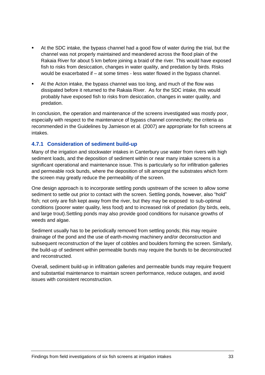- At the SDC intake, the bypass channel had a good flow of water during the trial, but the channel was not properly maintained and meandered across the flood plain of the Rakaia River for about 5 km before joining a braid of the river. This would have exposed fish to risks from desiccation, changes in water quality, and predation by birds. Risks would be exacerbated if – at some times - less water flowed in the bypass channel.
- At the Acton intake, the bypass channel was too long, and much of the flow was dissipated before it returned to the Rakaia River. As for the SDC intake, this would probably have exposed fish to risks from desiccation, changes in water quality, and predation.

In conclusion, the operation and maintenance of the screens investigated was mostly poor, especially with respect to the maintenance of bypass channel connectivity; the criteria as recommended in the Guidelines by Jamieson et al. (2007) are appropriate for fish screens at intakes.

### **4.7.1 Consideration of sediment build-up**

Many of the irrigation and stockwater intakes in Canterbury use water from rivers with high sediment loads, and the deposition of sediment within or near many intake screens is a significant operational and maintenance issue. This is particularly so for infiltration galleries and permeable rock bunds, where the deposition of silt amongst the substrates which form the screen may greatly reduce the permeability of the screen.

One design approach is to incorporate settling ponds upstream of the screen to allow some sediment to settle out prior to contact with the screen. Settling ponds, however, also "hold" fish; not only are fish kept away from the river, but they may be exposed to sub-optimal conditions (poorer water quality, less food) and to increased risk of predation (by birds, eels, and large trout).Settling ponds may also provide good conditions for nuisance growths of weeds and algae.

Sediment usually has to be periodically removed from settling ponds; this may require drainage of the pond and the use of earth-moving machinery and/or deconstruction and subsequent reconstruction of the layer of cobbles and boulders forming the screen. Similarly, the build-up of sediment within permeable bunds may require the bunds to be deconstructed and reconstructed.

Overall, sediment build-up in infiltration galleries and permeable bunds may require frequent and substantial maintenance to maintain screen performance, reduce outages, and avoid issues with consistent reconstruction.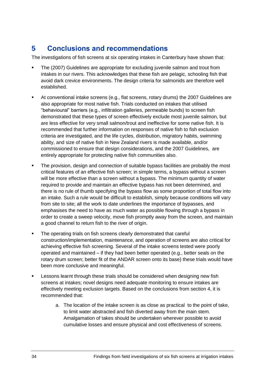# <span id="page-33-0"></span>**5 Conclusions and recommendations**

The investigations of fish screens at six operating intakes in Canterbury have shown that:

- The (2007) Guidelines are appropriate for excluding juvenile salmon and trout from intakes in our rivers. This acknowledges that these fish are pelagic, schooling fish that avoid dark crevice environments. The design criteria for salmonids are therefore well established.
- At conventional intake screens (e.g., flat screens, rotary drums) the 2007 Guidelines are also appropriate for most native fish. Trials conducted on intakes that utilised "behavioural" barriers (e.g., infiltration galleries, permeable bunds) to screen fish demonstrated that these types of screen effectively exclude most juvenile salmon, but are less effective for very small salmon/trout and ineffective for some native fish. It is recommended that further information on responses of native fish to fish exclusion criteria are investigated, and the life cycles, distribution, migratory habits, swimming ability, and size of native fish in New Zealand rivers is made available, and/or commissioned to ensure that design considerations, and the 2007 Guidelines, are entirely appropriate for protecting native fish communities also.
- The provision, design and connection of suitable bypass facilities are probably the most critical features of an effective fish screen; in simple terms, a bypass without a screen will be more effective than a screen without a bypass. The minimum quantity of water required to provide and maintain an effective bypass has not been determined, and there is no rule of thumb specifying the bypass flow as some proportion of total flow into an intake. Such a rule would be difficult to establish, simply because conditions will vary from site to site; all the work to date underlines the importance of bypasses, and emphasises the need to have as much water as possible flowing through a bypass in order to create a sweep velocity, move fish promptly away from the screen, and maintain a good channel to return fish to the river of origin.
- The operating trials on fish screens clearly demonstrated that careful construction/implementation, maintenance, and operation of screens are also critical for achieving effective fish screening. Several of the intake screens tested were poorly operated and maintained – if they had been better operated (e.g., better seals on the rotary drum screen; better fit of the ANDAR screen onto its base) these trials would have been more conclusive and meaningful.
- Lessons learnt through these trials should be considered when designing new fish screens at intakes; novel designs need adequate monitoring to ensure intakes are effectively meeting exclusion targets. Based on the conclusions from section 4, it is recommended that:
	- a. The location of the intake screen is as close as practical to the point of take, to limit water abstracted and fish diverted away from the main stem. Amalgamation of takes should be undertaken wherever possible to avoid cumulative losses and ensure physical and cost effectiveness of screens.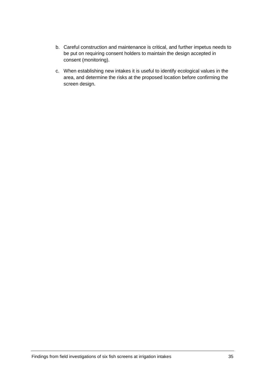- b. Careful construction and maintenance is critical, and further impetus needs to be put on requiring consent holders to maintain the design accepted in consent (monitoring).
- c. When establishing new intakes it is useful to identify ecological values in the area, and determine the risks at the proposed location before confirming the screen design.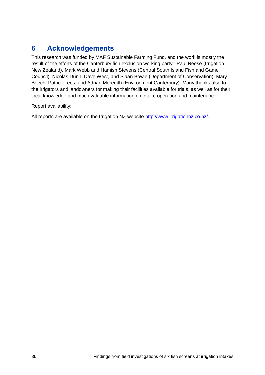# <span id="page-35-0"></span>**6 Acknowledgements**

This research was funded by MAF Sustainable Farming Fund, and the work is mostly the result of the efforts of the Canterbury fish exclusion working party: Paul Reese (Irrigation New Zealand), Mark Webb and Hamish Stevens (Central South Island Fish and Game Council), Nicolas Dunn, Dave West, and Sjaan Bowie (Department of Conservation), Mary Beech, Patrick Lees, and Adrian Meredith (Environment Canterbury). Many thanks also to the irrigators and landowners for making their facilities available for trials, as well as for their local knowledge and much valuable information on intake operation and maintenance.

Report availability:

All reports are available on the Irrigation NZ website [http://www.irrigationnz.co.nz/.](http://www.irrigationnz.co.nz/)